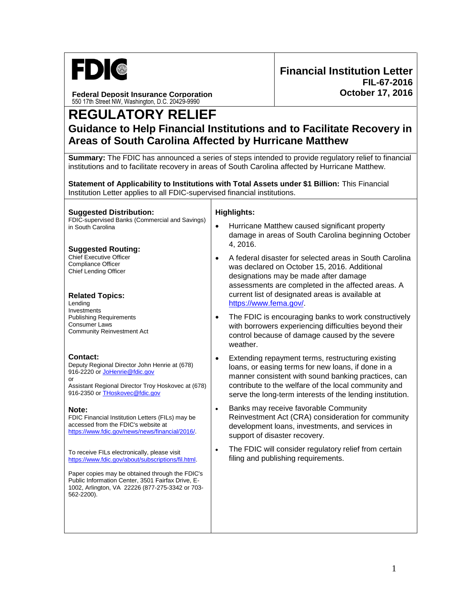

**Federal Deposit Insurance Corporation** 550 17th Street NW, Washington, D.C. 20429-9990

# **REGULATORY RELIEF Guidance to Help Financial Institutions and to Facilitate Recovery in Areas of South Carolina Affected by Hurricane Matthew**

**Summary:** The FDIC has announced a series of steps intended to provide regulatory relief to financial institutions and to facilitate recovery in areas of South Carolina affected by Hurricane Matthew.

**Statement of Applicability to Institutions with Total Assets under \$1 Billion:** This Financial Institution Letter applies to all FDIC-supervised financial institutions.

**Suggested Distribution:** FDIC-supervised Banks (Commercial and Savings) in South Carolina

## **Suggested Routing:**

Chief Executive Officer Compliance Officer Chief Lending Officer

#### **Related Topics:**

Lending Investments Publishing Requirements Consumer Laws Community Reinvestment Act

## **Contact:**

Deputy Regional Director John Henrie at (678) 916-2220 or [JoHenrie@fdic.gov](mailto:JoHenrie@fdic.gov) or

Assistant Regional Director Troy Hoskovec at (678) 916-2350 o[r THoskovec@fdic.gov](mailto:THoskovec@fdic.gov)

#### **Note:**

FDIC Financial Institution Letters (FILs) may be accessed from the FDIC's website at [https://www.fdic.gov/news/news/financial/2016/.](http://www.fdic.gov/news/news/financial/2016/)

To receive FILs electronically, please visit [https://www.fdic.gov/about/subscriptions/fil.html.](https://www.fdic.gov/about/subscriptions/fil.html) 

Paper copies may be obtained through the FDIC's Public Information Center, 3501 Fairfax Drive, E-1002, Arlington, VA 22226 (877-275-3342 or 703- 562-2200).

#### **Highlights:**

- Hurricane Matthew caused significant property damage in areas of South Carolina beginning October 4, 2016.
- A federal disaster for selected areas in South Carolina was declared on October 15, 2016. Additional designations may be made after damage assessments are completed in the affected areas. A current list of designated areas is available at [https://www.fema.gov/.](https://www.fema.gov/)
- The FDIC is encouraging banks to work constructively with borrowers experiencing difficulties beyond their control because of damage caused by the severe weather.
- Extending repayment terms, restructuring existing loans, or easing terms for new loans, if done in a manner consistent with sound banking practices, can contribute to the welfare of the local community and serve the long-term interests of the lending institution.
- Banks may receive favorable Community Reinvestment Act (CRA) consideration for community development loans, investments, and services in support of disaster recovery.
- The FDIC will consider regulatory relief from certain filing and publishing requirements.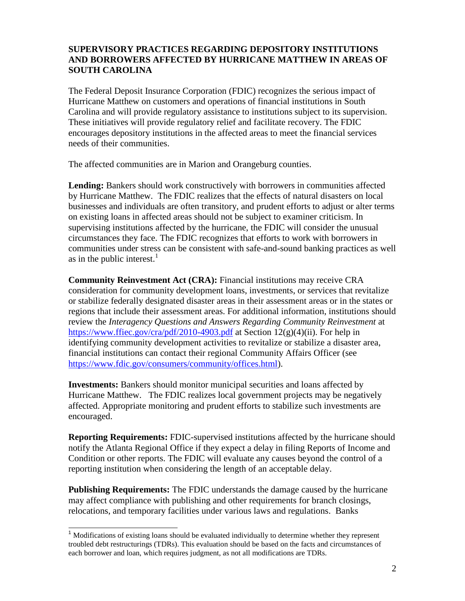## **SUPERVISORY PRACTICES REGARDING DEPOSITORY INSTITUTIONS AND BORROWERS AFFECTED BY HURRICANE MATTHEW IN AREAS OF SOUTH CAROLINA**

The Federal Deposit Insurance Corporation (FDIC) recognizes the serious impact of Hurricane Matthew on customers and operations of financial institutions in South Carolina and will provide regulatory assistance to institutions subject to its supervision. These initiatives will provide regulatory relief and facilitate recovery. The FDIC encourages depository institutions in the affected areas to meet the financial services needs of their communities.

The affected communities are in Marion and Orangeburg counties.

**Lending:** Bankers should work constructively with borrowers in communities affected by Hurricane Matthew. The FDIC realizes that the effects of natural disasters on local businesses and individuals are often transitory, and prudent efforts to adjust or alter terms on existing loans in affected areas should not be subject to examiner criticism. In supervising institutions affected by the hurricane, the FDIC will consider the unusual circumstances they face. The FDIC recognizes that efforts to work with borrowers in communities under stress can be consistent with safe-and-sound banking practices as well as in the public interest. $<sup>1</sup>$ </sup>

**Community Reinvestment Act (CRA):** Financial institutions may receive CRA consideration for community development loans, investments, or services that revitalize or stabilize federally designated disaster areas in their assessment areas or in the states or regions that include their assessment areas. For additional information, institutions should review the *Interagency Questions and Answers Regarding Community Reinvestment* at <https://www.ffiec.gov/cra/pdf/2010-4903.pdf> at Section 12(g)(4)(ii). For help in identifying community development activities to revitalize or stabilize a disaster area, financial institutions can contact their regional Community Affairs Officer (see [https://www.fdic.gov/consumers/community/offices.html\)](https://www.fdic.gov/consumers/community/offices.html).

**Investments:** Bankers should monitor municipal securities and loans affected by Hurricane Matthew. The FDIC realizes local government projects may be negatively affected. Appropriate monitoring and prudent efforts to stabilize such investments are encouraged.

**Reporting Requirements:** FDIC-supervised institutions affected by the hurricane should notify the Atlanta Regional Office if they expect a delay in filing Reports of Income and Condition or other reports. The FDIC will evaluate any causes beyond the control of a reporting institution when considering the length of an acceptable delay.

**Publishing Requirements:** The FDIC understands the damage caused by the hurricane may affect compliance with publishing and other requirements for branch closings, relocations, and temporary facilities under various laws and regulations. Banks

j

<sup>&</sup>lt;sup>1</sup> Modifications of existing loans should be evaluated individually to determine whether they represent troubled debt restructurings (TDRs). This evaluation should be based on the facts and circumstances of each borrower and loan, which requires judgment, as not all modifications are TDRs.